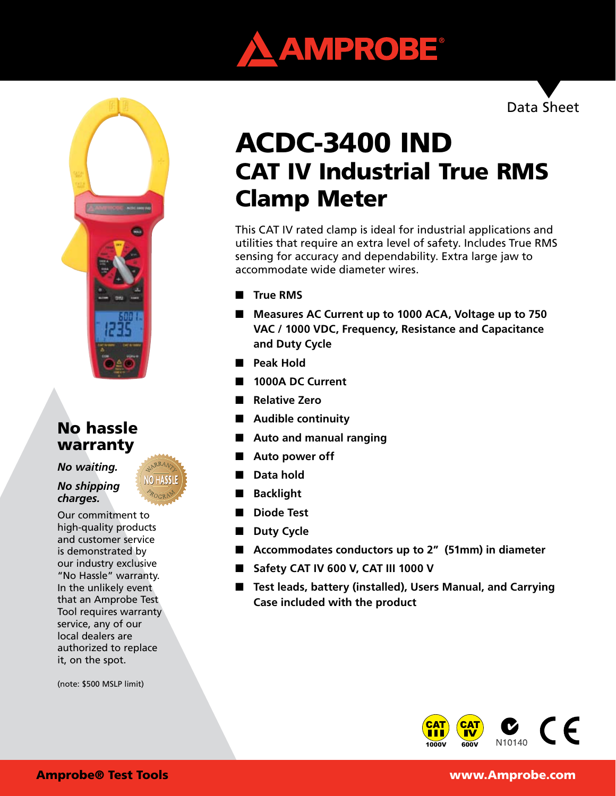



## No hassle warranty

*No waiting.* 

*No shipping charges.*

Our commitment to high-quality products and customer service is demonstrated by our industry exclusive "No Hassle" warranty. In the unlikely event that an Amprobe Test Tool requires warranty service, any of our local dealers are authorized to replace it, on the spot.

(note: \$500 MSLP limit)

Data Sheet

# ACDC-3400 IND CAT IV Industrial True RMS Clamp Meter

This CAT IV rated clamp is ideal for industrial applications and utilities that require an extra level of safety. Includes True RMS sensing for accuracy and dependability. Extra large jaw to accommodate wide diameter wires.

- **True RMS**
- Measures AC Current up to 1000 ACA, Voltage up to 750 **VAC / 1000 VDC, Frequency, Resistance and Capacitance and Duty Cycle**
- **Peak Hold**
- **1000A DC Current**
- **Relative Zero**
- **Audible continuity**
- Auto and manual ranging
- Auto power off
- **Data hold**
- **Backlight**
- **Diode Test**
- **Duty Cycle**
- **Accommodates conductors up to 2<sup>n</sup> (51mm) in diameter**
- **Safety CAT IV 600 V, CAT III 1000 V**
- **Test leads, battery (installed), Users Manual, and Carrying Case included with the product**



Amprobe® Test Tools www.Amprobe.com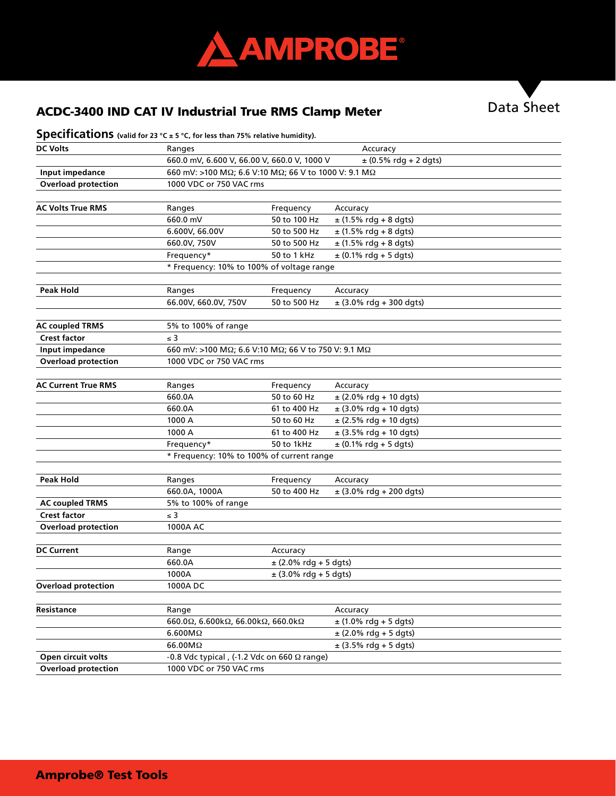

# ACDC-3400 IND CAT IV Industrial True RMS Clamp Meter **Data Sheet**



### **Specifications** (valid for 23 °C ± 5 °C, for less than 75% relative humidity).

| <b>DC Volts</b>            | Ranges                                                                 |                         | Accuracy                   |  |  |
|----------------------------|------------------------------------------------------------------------|-------------------------|----------------------------|--|--|
|                            | $± (0.5%$ rdg + 2 dgts)<br>660.0 mV, 6.600 V, 66.00 V, 660.0 V, 1000 V |                         |                            |  |  |
| Input impedance            | 660 mV: >100 MΩ; 6.6 V:10 MΩ; 66 V to 1000 V: 9.1 MΩ                   |                         |                            |  |  |
| <b>Overload protection</b> |                                                                        | 1000 VDC or 750 VAC rms |                            |  |  |
|                            |                                                                        |                         |                            |  |  |
| <b>AC Volts True RMS</b>   | Ranges                                                                 | Frequency               | Accuracy                   |  |  |
|                            | 660.0 mV                                                               | 50 to 100 Hz            | $±$ (1.5% rdg + 8 dgts)    |  |  |
|                            | 6.600V, 66.00V                                                         | 50 to 500 Hz            | $±$ (1.5% rdg + 8 dgts)    |  |  |
|                            | 660.0V, 750V                                                           | 50 to 500 Hz            | $±$ (1.5% rdg + 8 dgts)    |  |  |
|                            | Frequency*                                                             | 50 to 1 kHz             | $± (0.1\%$ rdg + 5 dgts)   |  |  |
|                            | * Frequency: 10% to 100% of voltage range                              |                         |                            |  |  |
|                            |                                                                        |                         |                            |  |  |
| <b>Peak Hold</b>           | Ranges                                                                 | Frequency               | Accuracy                   |  |  |
|                            | 66.00V, 660.0V, 750V                                                   | 50 to 500 Hz            | $±$ (3.0% rdg + 300 dgts)  |  |  |
| <b>AC coupled TRMS</b>     | 5% to 100% of range                                                    |                         |                            |  |  |
| <b>Crest factor</b>        | $\leq 3$                                                               |                         |                            |  |  |
| Input impedance            | 660 mV: >100 MΩ; 6.6 V:10 MΩ; 66 V to 750 V: 9.1 MΩ                    |                         |                            |  |  |
| <b>Overload protection</b> | 1000 VDC or 750 VAC rms                                                |                         |                            |  |  |
|                            |                                                                        |                         |                            |  |  |
| <b>AC Current True RMS</b> | Ranges                                                                 | Frequency               | Accuracy                   |  |  |
|                            | 660.0A                                                                 | 50 to 60 Hz             | ± (2.0% rdg + 10 dgts)     |  |  |
|                            | 660.0A                                                                 | 61 to 400 Hz            | $±$ (3.0% rdg + 10 dgts)   |  |  |
|                            | 1000 A                                                                 | 50 to 60 Hz             | $\pm$ (2.5% rdg + 10 dgts) |  |  |
|                            | 1000 A                                                                 | 61 to 400 Hz            | $\pm$ (3.5% rdg + 10 dgts) |  |  |
|                            | Frequency*                                                             | 50 to 1kHz              | $± (0.1\%$ rdg + 5 dgts)   |  |  |
|                            | * Frequency: 10% to 100% of current range                              |                         |                            |  |  |
|                            |                                                                        |                         |                            |  |  |
| <b>Peak Hold</b>           | Ranges                                                                 | Frequency               | Accuracy                   |  |  |
|                            | 660.0A, 1000A                                                          | 50 to 400 Hz            | $±$ (3.0% rdg + 200 dgts)  |  |  |
| <b>AC coupled TRMS</b>     | 5% to 100% of range                                                    |                         |                            |  |  |
| <b>Crest factor</b>        | $\leq 3$                                                               |                         |                            |  |  |
| <b>Overload protection</b> | 1000A AC                                                               |                         |                            |  |  |
| <b>DC Current</b>          | Range                                                                  | Accuracy                |                            |  |  |
|                            | 660.0A                                                                 | $±$ (2.0% rdg + 5 dgts) |                            |  |  |
|                            | 1000A                                                                  | $±$ (3.0% rdg + 5 dgts) |                            |  |  |
| <b>Overload protection</b> | 1000ADC                                                                |                         |                            |  |  |
|                            |                                                                        |                         |                            |  |  |
| <b>Resistance</b>          | Range                                                                  |                         | Accuracy                   |  |  |
|                            | 660.0 $\Omega$ , 6.600k $\Omega$ , 66.00k $\Omega$ , 660.0k $\Omega$   |                         | $±$ (1.0% rdg + 5 dgts)    |  |  |
|                            | $6.600M\Omega$                                                         |                         | $\pm$ (2.0% rdg + 5 dgts)  |  |  |
|                            | 66.00MΩ                                                                |                         | $\pm$ (3.5% rdg + 5 dgts)  |  |  |
| Open circuit volts         | -0.8 Vdc typical, (-1.2 Vdc on 660 $\Omega$ range)                     |                         |                            |  |  |
| <b>Overload protection</b> | 1000 VDC or 750 VAC rms                                                |                         |                            |  |  |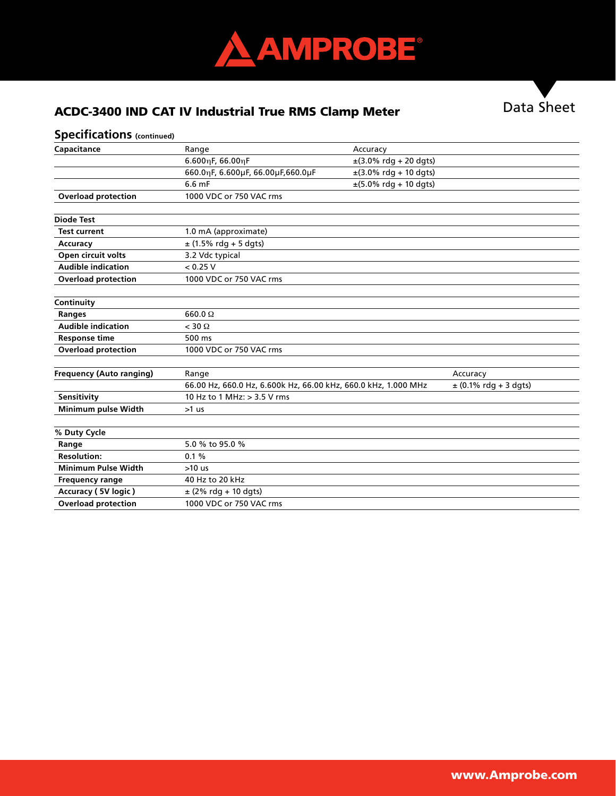

# ACDC-3400 IND CAT IV Industrial True RMS Clamp Meter Data Sheet

### **Specifications (continued)**

| Capacitance                     | Range                                                          | Accuracy                                   |                           |
|---------------------------------|----------------------------------------------------------------|--------------------------------------------|---------------------------|
|                                 | $6.600$ ηF, 66.00ηF                                            | $\pm$ (3.0% rdg + 20 dgts)                 |                           |
|                                 | 660.0nF, 6.600uF, 66.00uF, 660.0uF                             | $\pm$ (3.0% rdg + 10 dgts)                 |                           |
|                                 | 6.6 mF                                                         | $\pm (5.0\% \text{ rdg} + 10 \text{ dgt})$ |                           |
| <b>Overload protection</b>      | 1000 VDC or 750 VAC rms                                        |                                            |                           |
| <b>Diode Test</b>               |                                                                |                                            |                           |
| <b>Test current</b>             | 1.0 mA (approximate)                                           |                                            |                           |
| Accuracy                        | $\pm$ (1.5% rdg + 5 dgts)                                      |                                            |                           |
| Open circuit volts              | 3.2 Vdc typical                                                |                                            |                           |
| <b>Audible indication</b>       | < 0.25 V                                                       |                                            |                           |
| <b>Overload protection</b>      | 1000 VDC or 750 VAC rms                                        |                                            |                           |
| Continuity                      |                                                                |                                            |                           |
| <b>Ranges</b>                   | $660.0 \Omega$                                                 |                                            |                           |
| <b>Audible indication</b>       | $<$ 30 $\Omega$                                                |                                            |                           |
| <b>Response time</b>            | 500 ms                                                         |                                            |                           |
| <b>Overload protection</b>      | 1000 VDC or 750 VAC rms                                        |                                            |                           |
| <b>Frequency (Auto ranging)</b> | Range                                                          |                                            | Accuracy                  |
|                                 | 66.00 Hz, 660.0 Hz, 6.600k Hz, 66.00 kHz, 660.0 kHz, 1.000 MHz |                                            | $\pm$ (0.1% rdg + 3 dgts) |
| Sensitivity                     | 10 Hz to 1 MHz: > 3.5 V rms                                    |                                            |                           |
| Minimum pulse Width             | $>1$ us                                                        |                                            |                           |
| % Duty Cycle                    |                                                                |                                            |                           |
| Range                           | 5.0 % to 95.0 %                                                |                                            |                           |
| <b>Resolution:</b>              | 0.1%                                                           |                                            |                           |
| <b>Minimum Pulse Width</b>      | $>10$ us                                                       |                                            |                           |
| <b>Frequency range</b>          | 40 Hz to 20 kHz                                                |                                            |                           |
| Accuracy (5V logic)             | $±$ (2% rdg + 10 dgts)                                         |                                            |                           |
| <b>Overload protection</b>      | 1000 VDC or 750 VAC rms                                        |                                            |                           |